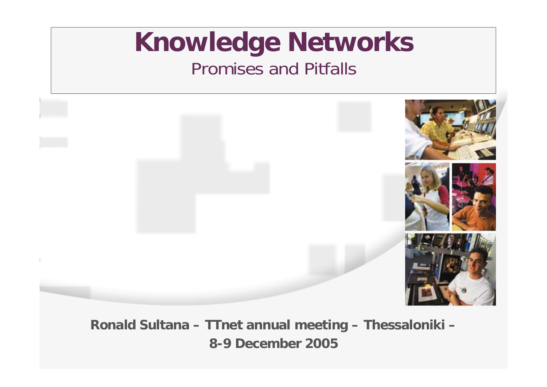# **Knowledge Networks**  Promises and Pitfalls



**Ronald Sultana – TTnet annual meeting – Thessaloniki – 8-9 December 2005**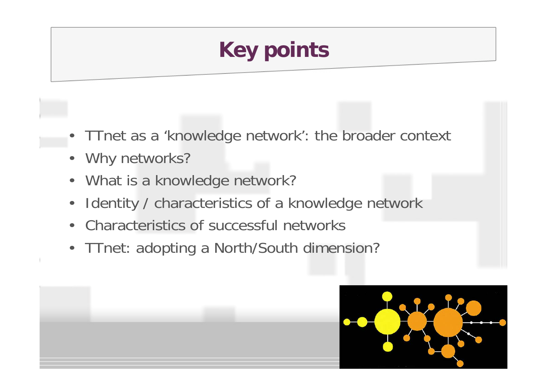# **Key points**

- TTnet as a 'knowledge network': the broader context
- •Why networks?
- What is a knowledge network?
- •Identity / characteristics of a knowledge network
- •Characteristics of successful networks
- TTnet: adopting a North/South dimension?

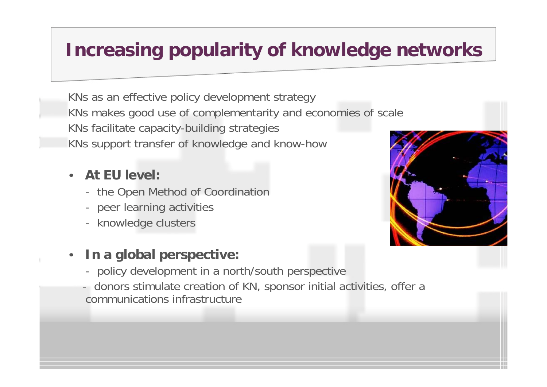### **Increasing popularity of knowledge networks**

KNs as an effective policy development strategy KNs makes good use of complementarity and economies of scale KNs facilitate capacity-building strategies KNs support transfer of knowledge and know-how

#### •**At EU level:**

- the Open Method of Coordination
- peer learning activities
- knowledge clusters

#### •**In a global perspective:**

- policy development in a north/south perspective
- donors stimulate creation of KN, sponsor initial activities, offer a communications infrastructure

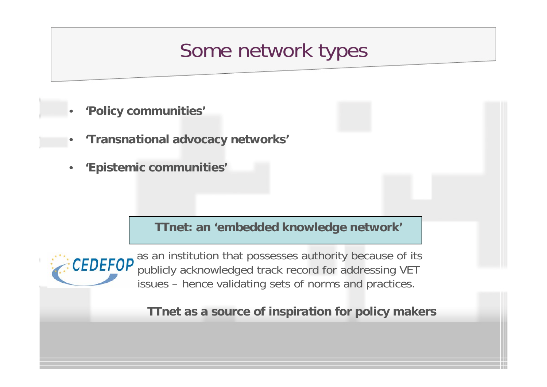## Some network types

- •**'Policy communities'**
- •**'Transnational advocacy networks'**
- •**'Epistemic communities'**

**TTnet: an 'embedded knowledge network'**



as an institution that possesses authority because of its publicly acknowledged track record for addressing VET issues – hence validating sets of norms and practices.

**TTnet as a source of inspiration for policy makers**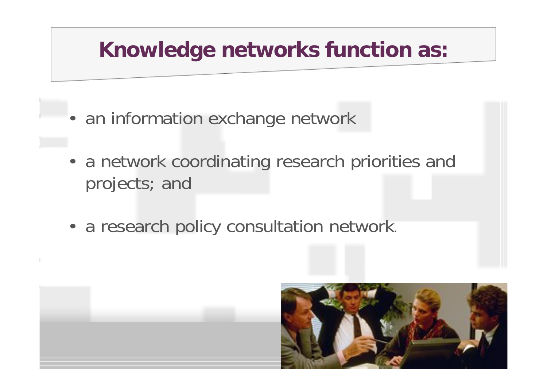## **Knowledge networks function as:**

- an information exchange network
- a network coordinating research priorities and projects; and
- a research policy consultation network.

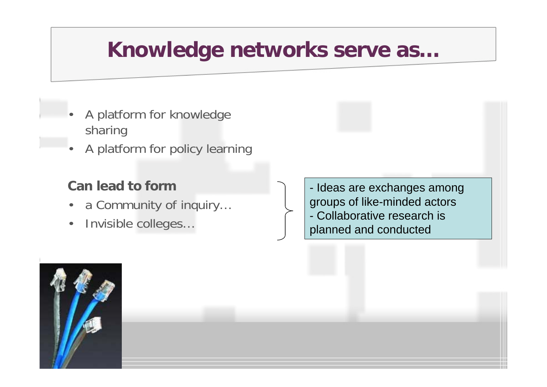# **Knowledge networks serve as…**

- • A platform for knowledge sharing
- •A platform for policy learning

#### **Can lead to form**

- •a Community of inquiry…
- •Invisible colleges…

- Ideas are exchanges among groups of like-minded actors - Collaborative research is planned and conducted

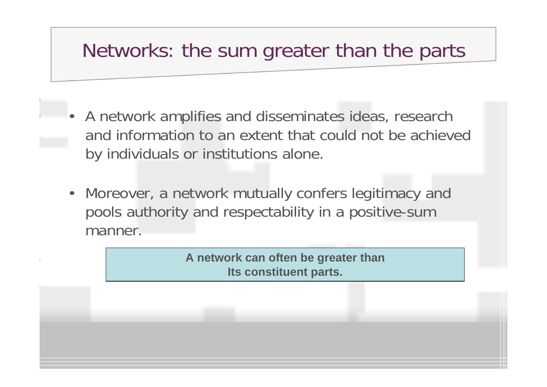## Networks: the sum greater than the parts

- A network amplifies and disseminates ideas, research and information to an extent that could not be achieved by individuals or institutions alone.
- Moreover, a network mutually confers legitimacy and pools authority and respectability in a positive-sum manner.

**A network can often be greater than Its constituent parts.**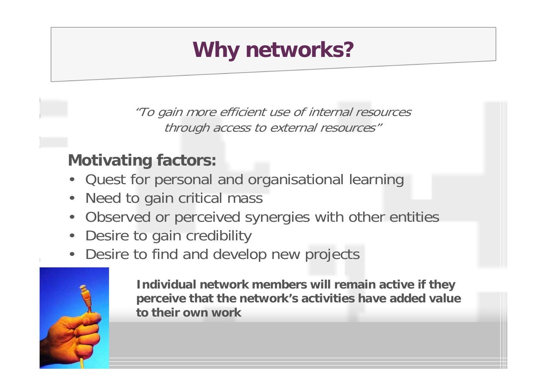## **Why networks?**

"To gain more efficient use of internal resources through access to external resources"

#### **Motivating factors:**

- •Quest for personal and organisational learning
- •Need to gain critical mass
- Observed or perceived synergies with other entities
- •Desire to gain credibility
- •Desire to find and develop new projects



 **Individual network members will remain active if they perceive that the network's activities have added value to their own work**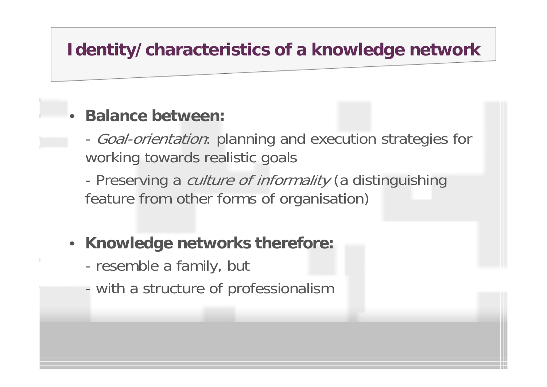### **Identity/characteristics of a knowledge network**

#### •**Balance between:**

- -- *Goal-orientation*: planning and execution strategies for working towards realistic goals
- -Preserving a *culture of informality* (a distinguishing feature from other forms of organisation)
- $\bullet$  **Knowledge networks therefore:**
	- resemble a family, but
	- with a structure of professionalism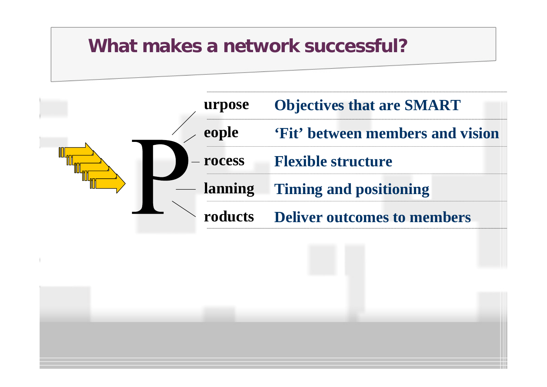### **What makes a network successful?**

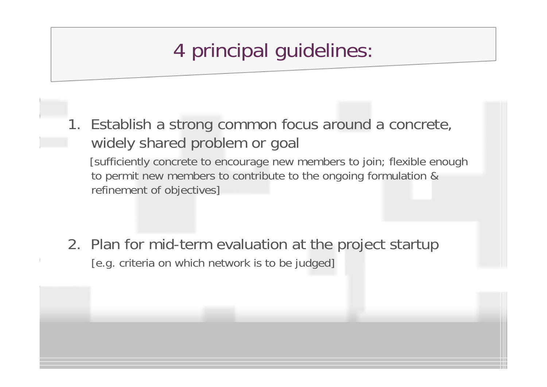# 4 principal guidelines:

1. Establish a strong common focus around a concrete, widely shared problem or goal [sufficiently concrete to encourage new members to join; flexible enough to permit new members to contribute to the ongoing formulation &

refinement of objectives]

2. Plan for mid-term evaluation at the project startup [e.g. criteria on which network is to be judged]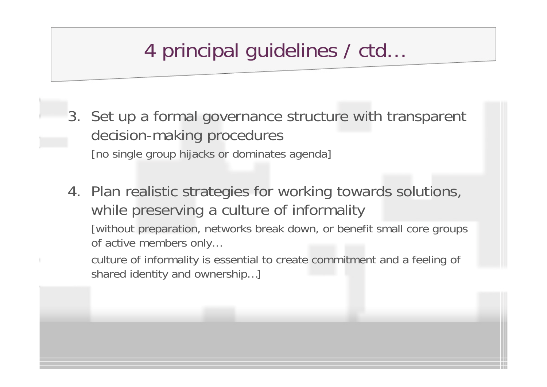# 4 principal guidelines / ctd…

- 3. Set up a formal governance structure with transparent decision-making procedures [no single group hijacks or dominates agenda]
- 4. Plan realistic strategies for working towards solutions, while preserving a culture of informality [without preparation, networks break down, or benefit small core groups of active members only…

culture of informality is essential to create commitment and a feeling of shared identity and ownership…]